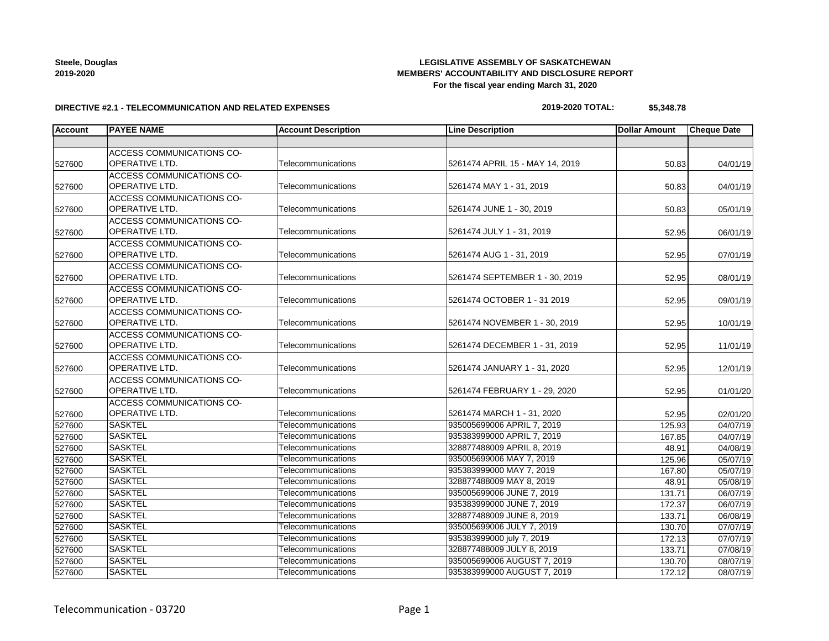## **LEGISLATIVE ASSEMBLY OF SASKATCHEWAN MEMBERS' ACCOUNTABILITY AND DISCLOSURE REPORT For the fiscal year ending March 31, 2020**

### **DIRECTIVE #2.1 - TELECOMMUNICATION AND RELATED EXPENSES**

## **2019-2020 TOTAL: \$5,348.78**

| <b>Account</b> | <b>PAYEE NAME</b>                | <b>Account Description</b> | <b>Line Description</b>         | <b>Dollar Amount</b> | <b>Cheque Date</b> |
|----------------|----------------------------------|----------------------------|---------------------------------|----------------------|--------------------|
|                |                                  |                            |                                 |                      |                    |
|                | ACCESS COMMUNICATIONS CO-        |                            |                                 |                      |                    |
| 527600         | OPERATIVE LTD.                   | Telecommunications         | 5261474 APRIL 15 - MAY 14, 2019 | 50.83                | 04/01/19           |
|                | ACCESS COMMUNICATIONS CO-        |                            |                                 |                      |                    |
| 527600         | OPERATIVE LTD.                   | Telecommunications         | 5261474 MAY 1 - 31, 2019        | 50.83                | 04/01/19           |
|                | ACCESS COMMUNICATIONS CO-        |                            |                                 |                      |                    |
| 527600         | OPERATIVE LTD.                   | Telecommunications         | 5261474 JUNE 1 - 30, 2019       | 50.83                | 05/01/19           |
|                | <b>ACCESS COMMUNICATIONS CO-</b> |                            |                                 |                      |                    |
| 527600         | OPERATIVE LTD.                   | Telecommunications         | 5261474 JULY 1 - 31, 2019       | 52.95                | 06/01/19           |
|                | ACCESS COMMUNICATIONS CO-        |                            |                                 |                      |                    |
| 527600         | OPERATIVE LTD.                   | Telecommunications         | 5261474 AUG 1 - 31, 2019        | 52.95                | 07/01/19           |
|                | <b>ACCESS COMMUNICATIONS CO-</b> |                            |                                 |                      |                    |
| 527600         | OPERATIVE LTD.                   | Telecommunications         | 5261474 SEPTEMBER 1 - 30, 2019  | 52.95                | 08/01/19           |
|                | <b>ACCESS COMMUNICATIONS CO-</b> |                            |                                 |                      |                    |
| 527600         | OPERATIVE LTD.                   | Telecommunications         | 5261474 OCTOBER 1 - 31 2019     | 52.95                | 09/01/19           |
|                | <b>ACCESS COMMUNICATIONS CO-</b> |                            |                                 |                      |                    |
| 527600         | OPERATIVE LTD.                   | Telecommunications         | 5261474 NOVEMBER 1 - 30, 2019   | 52.95                | 10/01/19           |
|                | ACCESS COMMUNICATIONS CO-        |                            |                                 |                      |                    |
| 527600         | OPERATIVE LTD.                   | Telecommunications         | 5261474 DECEMBER 1 - 31, 2019   | 52.95                | 11/01/19           |
|                | ACCESS COMMUNICATIONS CO-        |                            |                                 |                      |                    |
| 527600         | OPERATIVE LTD.                   | Telecommunications         | 5261474 JANUARY 1 - 31, 2020    | 52.95                | 12/01/19           |
|                | ACCESS COMMUNICATIONS CO-        |                            |                                 |                      |                    |
| 527600         | OPERATIVE LTD.                   | Telecommunications         | 5261474 FEBRUARY 1 - 29, 2020   | 52.95                | 01/01/20           |
|                | ACCESS COMMUNICATIONS CO-        |                            |                                 |                      |                    |
| 527600         | <b>OPERATIVE LTD.</b>            | Telecommunications         | 5261474 MARCH 1 - 31, 2020      | 52.95                | 02/01/20           |
| 527600         | <b>SASKTEL</b>                   | Telecommunications         | 935005699006 APRIL 7, 2019      | 125.93               | 04/07/19           |
| 527600         | <b>SASKTEL</b>                   | Telecommunications         | 935383999000 APRIL 7, 2019      | 167.85               | 04/07/19           |
| 527600         | <b>SASKTEL</b>                   | Telecommunications         | 328877488009 APRIL 8, 2019      | 48.91                | 04/08/19           |
| 527600         | <b>SASKTEL</b>                   | Telecommunications         | 935005699006 MAY 7, 2019        | 125.96               | 05/07/19           |
| 527600         | <b>SASKTEL</b>                   | Telecommunications         | 935383999000 MAY 7, 2019        | 167.80               | 05/07/19           |
| 527600         | <b>SASKTEL</b>                   | Telecommunications         | 328877488009 MAY 8, 2019        | 48.91                | 05/08/19           |
| 527600         | <b>SASKTEL</b>                   | Telecommunications         | 935005699006 JUNE 7, 2019       | 131.71               | 06/07/19           |
| 527600         | <b>SASKTEL</b>                   | Telecommunications         | 935383999000 JUNE 7, 2019       | 172.37               | 06/07/19           |
| 527600         | <b>SASKTEL</b>                   | Telecommunications         | 328877488009 JUNE 8, 2019       | 133.71               | 06/08/19           |
| 527600         | <b>SASKTEL</b>                   | Telecommunications         | 935005699006 JULY 7, 2019       | 130.70               | 07/07/19           |
| 527600         | <b>SASKTEL</b>                   | Telecommunications         | 935383999000 july 7, 2019       | 172.13               | 07/07/19           |
| 527600         | <b>SASKTEL</b>                   | Telecommunications         | 328877488009 JULY 8, 2019       | 133.71               | 07/08/19           |
| 527600         | <b>SASKTEL</b>                   | Telecommunications         | 935005699006 AUGUST 7, 2019     | 130.70               | 08/07/19           |
| 527600         | <b>SASKTEL</b>                   | Telecommunications         | 935383999000 AUGUST 7, 2019     | 172.12               | 08/07/19           |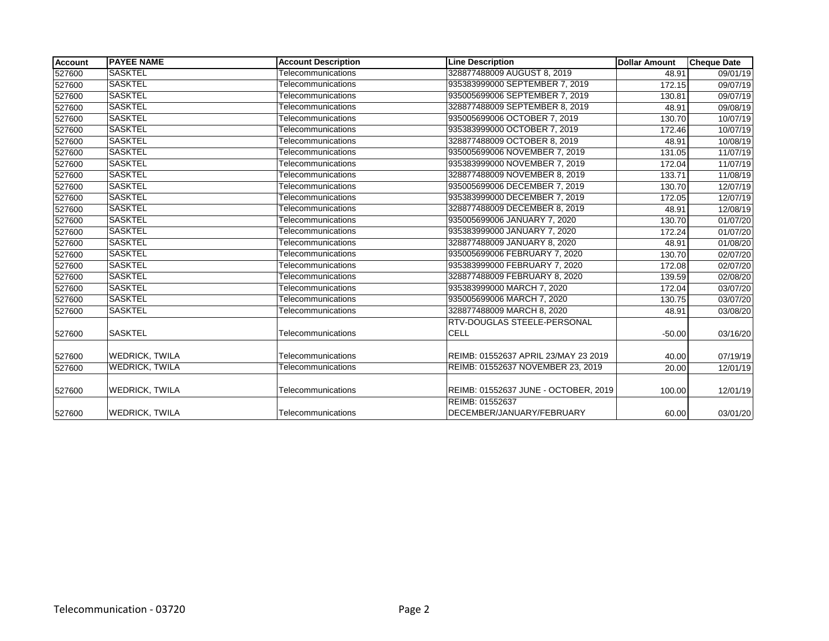| <b>Account</b> | <b>PAYEE NAME</b>     | <b>Account Description</b> | <b>Line Description</b>              | <b>Dollar Amount</b> | <b>Cheque Date</b> |
|----------------|-----------------------|----------------------------|--------------------------------------|----------------------|--------------------|
| 527600         | <b>SASKTEL</b>        | Telecommunications         | 328877488009 AUGUST 8, 2019          | 48.91                | 09/01/19           |
| 527600         | <b>SASKTEL</b>        | Telecommunications         | 935383999000 SEPTEMBER 7, 2019       | 172.15               | 09/07/19           |
| 527600         | <b>SASKTEL</b>        | Telecommunications         | 935005699006 SEPTEMBER 7, 2019       | 130.81               | 09/07/19           |
| 527600         | <b>SASKTEL</b>        | Telecommunications         | 328877488009 SEPTEMBER 8, 2019       | 48.91                | 09/08/19           |
| 527600         | <b>SASKTEL</b>        | Telecommunications         | 935005699006 OCTOBER 7, 2019         | 130.70               | 10/07/19           |
| 527600         | <b>SASKTEL</b>        | Telecommunications         | 935383999000 OCTOBER 7, 2019         | 172.46               | 10/07/19           |
| 527600         | <b>SASKTEL</b>        | Telecommunications         | 328877488009 OCTOBER 8, 2019         | 48.91                | 10/08/19           |
| 527600         | <b>SASKTEL</b>        | Telecommunications         | 935005699006 NOVEMBER 7, 2019        | 131.05               | 11/07/19           |
| 527600         | <b>SASKTEL</b>        | Telecommunications         | 935383999000 NOVEMBER 7, 2019        | 172.04               | 11/07/19           |
| 527600         | <b>SASKTEL</b>        | Telecommunications         | 328877488009 NOVEMBER 8, 2019        | 133.71               | 11/08/19           |
| 527600         | <b>SASKTEL</b>        | Telecommunications         | 935005699006 DECEMBER 7, 2019        | 130.70               | 12/07/19           |
| 527600         | <b>SASKTEL</b>        | Telecommunications         | 935383999000 DECEMBER 7, 2019        | 172.05               | 12/07/19           |
| 527600         | <b>SASKTEL</b>        | Telecommunications         | 328877488009 DECEMBER 8, 2019        | 48.91                | 12/08/19           |
| 527600         | <b>SASKTEL</b>        | Telecommunications         | 935005699006 JANUARY 7, 2020         | 130.70               | 01/07/20           |
| 527600         | <b>SASKTEL</b>        | Telecommunications         | 935383999000 JANUARY 7, 2020         | 172.24               | 01/07/20           |
| 527600         | <b>SASKTEL</b>        | Telecommunications         | 328877488009 JANUARY 8, 2020         | 48.91                | 01/08/20           |
| 527600         | <b>SASKTEL</b>        | Telecommunications         | 935005699006 FEBRUARY 7, 2020        | 130.70               | 02/07/20           |
| 527600         | <b>SASKTEL</b>        | Telecommunications         | 935383999000 FEBRUARY 7, 2020        | 172.08               | 02/07/20           |
| 527600         | <b>SASKTEL</b>        | Telecommunications         | 328877488009 FEBRUARY 8, 2020        | 139.59               | 02/08/20           |
| 527600         | <b>SASKTEL</b>        | Telecommunications         | 935383999000 MARCH 7, 2020           | 172.04               | 03/07/20           |
| 527600         | <b>SASKTEL</b>        | Telecommunications         | 935005699006 MARCH 7, 2020           | 130.75               | 03/07/20           |
| 527600         | <b>SASKTEL</b>        | Telecommunications         | 328877488009 MARCH 8, 2020           | 48.91                | 03/08/20           |
|                |                       |                            | RTV-DOUGLAS STEELE-PERSONAL          |                      |                    |
| 527600         | <b>SASKTEL</b>        | Telecommunications         | <b>CELL</b>                          | $-50.00$             | 03/16/20           |
| 527600         | <b>WEDRICK, TWILA</b> | Telecommunications         | REIMB: 01552637 APRIL 23/MAY 23 2019 | 40.00                | 07/19/19           |
| 527600         | <b>WEDRICK, TWILA</b> | Telecommunications         | REIMB: 01552637 NOVEMBER 23, 2019    | 20.00                | 12/01/19           |
|                |                       |                            |                                      |                      |                    |
| 527600         | <b>WEDRICK, TWILA</b> | Telecommunications         | REIMB: 01552637 JUNE - OCTOBER, 2019 | 100.00               | 12/01/19           |
|                |                       |                            | REIMB: 01552637                      |                      |                    |
| 527600         | <b>WEDRICK, TWILA</b> | Telecommunications         | DECEMBER/JANUARY/FEBRUARY            | 60.00                | 03/01/20           |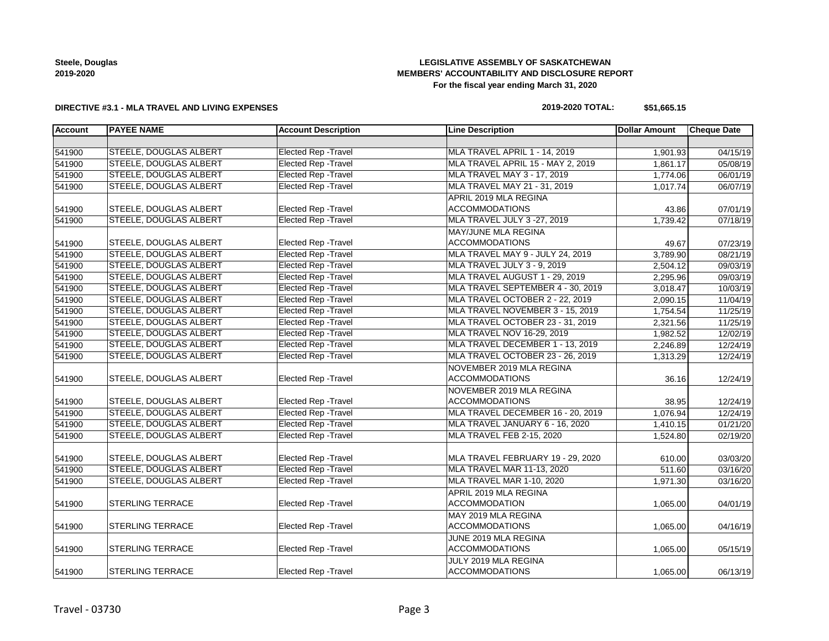**Steele, Douglas 2019-2020**

## **LEGISLATIVE ASSEMBLY OF SASKATCHEWAN MEMBERS' ACCOUNTABILITY AND DISCLOSURE REPORT For the fiscal year ending March 31, 2020**

## **DIRECTIVE #3.1 - MLA TRAVEL AND LIVING EXPENSES**

### **2019-2020 TOTAL: \$51,665.15**

| <b>Account</b> | <b>PAYEE NAME</b>             | <b>Account Description</b>  | <b>Line Description</b>           | <b>Dollar Amount</b> | <b>Cheque Date</b> |
|----------------|-------------------------------|-----------------------------|-----------------------------------|----------------------|--------------------|
|                |                               |                             |                                   |                      |                    |
| 541900         | <b>STEELE, DOUGLAS ALBERT</b> | <b>Elected Rep - Travel</b> | MLA TRAVEL APRIL 1 - 14, 2019     | 1,901.93             | 04/15/19           |
| 541900         | <b>STEELE, DOUGLAS ALBERT</b> | <b>Elected Rep - Travel</b> | MLA TRAVEL APRIL 15 - MAY 2, 2019 | 1,861.17             | 05/08/19           |
| 541900         | <b>STEELE, DOUGLAS ALBERT</b> | <b>Elected Rep - Travel</b> | MLA TRAVEL MAY 3 - 17, 2019       | 1,774.06             | 06/01/19           |
| 541900         | STEELE, DOUGLAS ALBERT        | <b>Elected Rep - Travel</b> | MLA TRAVEL MAY 21 - 31, 2019      | 1,017.74             | 06/07/19           |
|                |                               |                             | APRIL 2019 MLA REGINA             |                      |                    |
| 541900         | <b>STEELE, DOUGLAS ALBERT</b> | Elected Rep - Travel        | <b>ACCOMMODATIONS</b>             | 43.86                | 07/01/19           |
| 541900         | STEELE, DOUGLAS ALBERT        | <b>Elected Rep - Travel</b> | MLA TRAVEL JULY 3 -27, 2019       | 1,739.42             | 07/18/19           |
|                |                               |                             | <b>MAY/JUNE MLA REGINA</b>        |                      |                    |
| 541900         | STEELE, DOUGLAS ALBERT        | Elected Rep - Travel        | <b>ACCOMMODATIONS</b>             | 49.67                | 07/23/19           |
| 541900         | <b>STEELE, DOUGLAS ALBERT</b> | <b>Elected Rep - Travel</b> | MLA TRAVEL MAY 9 - JULY 24, 2019  | 3,789.90             | 08/21/19           |
| 541900         | <b>STEELE, DOUGLAS ALBERT</b> | <b>Elected Rep - Travel</b> | MLA TRAVEL JULY 3 - 9, 2019       | 2,504.12             | 09/03/19           |
| 541900         | <b>STEELE, DOUGLAS ALBERT</b> | <b>Elected Rep - Travel</b> | MLA TRAVEL AUGUST 1 - 29, 2019    | 2,295.96             | 09/03/19           |
| 541900         | <b>STEELE, DOUGLAS ALBERT</b> | <b>Elected Rep - Travel</b> | MLA TRAVEL SEPTEMBER 4 - 30, 2019 | 3,018.47             | 10/03/19           |
| 541900         | <b>STEELE, DOUGLAS ALBERT</b> | <b>Elected Rep - Travel</b> | MLA TRAVEL OCTOBER 2 - 22, 2019   | 2,090.15             | 11/04/19           |
| 541900         | STEELE, DOUGLAS ALBERT        | <b>Elected Rep - Travel</b> | MLA TRAVEL NOVEMBER 3 - 15, 2019  | 1,754.54             | 11/25/19           |
| 541900         | STEELE, DOUGLAS ALBERT        | <b>Elected Rep - Travel</b> | MLA TRAVEL OCTOBER 23 - 31, 2019  | 2,321.56             | 11/25/19           |
| 541900         | STEELE, DOUGLAS ALBERT        | <b>Elected Rep - Travel</b> | MLA TRAVEL NOV 16-29, 2019        | 1,982.52             | 12/02/19           |
| 541900         | <b>STEELE, DOUGLAS ALBERT</b> | <b>Elected Rep - Travel</b> | MLA TRAVEL DECEMBER 1 - 13, 2019  | 2,246.89             | 12/24/19           |
| 541900         | <b>STEELE, DOUGLAS ALBERT</b> | <b>Elected Rep - Travel</b> | MLA TRAVEL OCTOBER 23 - 26, 2019  | 1,313.29             | 12/24/19           |
|                |                               |                             | NOVEMBER 2019 MLA REGINA          |                      |                    |
| 541900         | <b>STEELE, DOUGLAS ALBERT</b> | Elected Rep - Travel        | <b>ACCOMMODATIONS</b>             | 36.16                | 12/24/19           |
|                |                               |                             | NOVEMBER 2019 MLA REGINA          |                      |                    |
| 541900         | <b>STEELE, DOUGLAS ALBERT</b> | Elected Rep - Travel        | <b>ACCOMMODATIONS</b>             | 38.95                | 12/24/19           |
| 541900         | <b>STEELE, DOUGLAS ALBERT</b> | <b>Elected Rep - Travel</b> | MLA TRAVEL DECEMBER 16 - 20, 2019 | 1,076.94             | 12/24/19           |
| 541900         | <b>STEELE, DOUGLAS ALBERT</b> | <b>Elected Rep - Travel</b> | MLA TRAVEL JANUARY 6 - 16, 2020   | 1,410.15             | 01/21/20           |
| 541900         | STEELE, DOUGLAS ALBERT        | <b>Elected Rep - Travel</b> | MLA TRAVEL FEB 2-15, 2020         | 1,524.80             | 02/19/20           |
|                |                               |                             |                                   |                      |                    |
| 541900         | <b>STEELE, DOUGLAS ALBERT</b> | <b>Elected Rep - Travel</b> | MLA TRAVEL FEBRUARY 19 - 29, 2020 | 610.00               | 03/03/20           |
| 541900         | <b>STEELE, DOUGLAS ALBERT</b> | <b>Elected Rep - Travel</b> | <b>MLA TRAVEL MAR 11-13, 2020</b> | 511.60               | 03/16/20           |
| 541900         | <b>STEELE, DOUGLAS ALBERT</b> | <b>Elected Rep - Travel</b> | MLA TRAVEL MAR 1-10, 2020         | 1,971.30             | 03/16/20           |
|                |                               |                             | APRIL 2019 MLA REGINA             |                      |                    |
| 541900         | <b>STERLING TERRACE</b>       | <b>Elected Rep - Travel</b> | <b>ACCOMMODATION</b>              | 1,065.00             | 04/01/19           |
|                |                               |                             | MAY 2019 MLA REGINA               |                      |                    |
| 541900         | <b>STERLING TERRACE</b>       | Elected Rep - Travel        | <b>ACCOMMODATIONS</b>             | 1,065.00             | 04/16/19           |
|                |                               |                             | JUNE 2019 MLA REGINA              |                      |                    |
| 541900         | <b>STERLING TERRACE</b>       | Elected Rep - Travel        | <b>ACCOMMODATIONS</b>             | 1,065.00             | 05/15/19           |
|                |                               |                             | JULY 2019 MLA REGINA              |                      |                    |
| 541900         | <b>STERLING TERRACE</b>       | Elected Rep - Travel        | <b>ACCOMMODATIONS</b>             | 1,065.00             | 06/13/19           |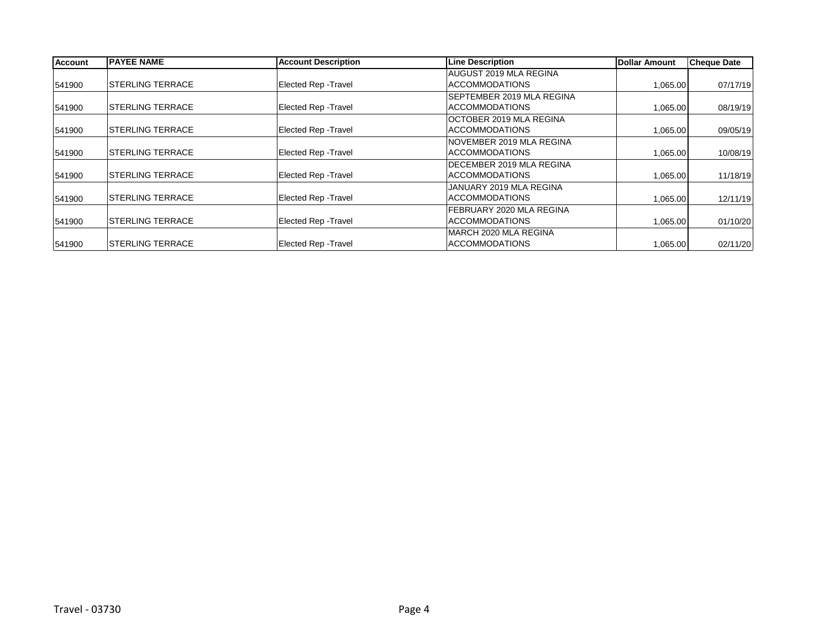| <b>Account</b> | <b>PAYEE NAME</b>        | <b>Account Description</b>  | <b>Line Description</b>        | Dollar Amount | <b>Cheque Date</b> |
|----------------|--------------------------|-----------------------------|--------------------------------|---------------|--------------------|
|                |                          |                             | AUGUST 2019 MLA REGINA         |               |                    |
| 541900         | <b>ISTERLING TERRACE</b> | Elected Rep - Travel        | <b>ACCOMMODATIONS</b>          | 1,065.00      | 07/17/19           |
|                |                          |                             | SEPTEMBER 2019 MLA REGINA      |               |                    |
| 541900         | <b>ISTERLING TERRACE</b> | <b>Elected Rep - Travel</b> | <b>ACCOMMODATIONS</b>          | 1,065.00      | 08/19/19           |
|                |                          |                             | <b>OCTOBER 2019 MLA REGINA</b> |               |                    |
| 541900         | <b>ISTERLING TERRACE</b> | Elected Rep - Travel        | <b>ACCOMMODATIONS</b>          | 1,065.00      | 09/05/19           |
|                |                          |                             | INOVEMBER 2019 MLA REGINA      |               |                    |
| 541900         | <b>ISTERLING TERRACE</b> | <b>Elected Rep - Travel</b> | <b>ACCOMMODATIONS</b>          | 1,065.00      | 10/08/19           |
|                |                          |                             | DECEMBER 2019 MLA REGINA       |               |                    |
| 541900         | <b>ISTERLING TERRACE</b> | <b>Elected Rep - Travel</b> | <b>ACCOMMODATIONS</b>          | 1,065.00      | 11/18/19           |
|                |                          |                             | JANUARY 2019 MLA REGINA        |               |                    |
| 541900         | <b>ISTERLING TERRACE</b> | <b>Elected Rep - Travel</b> | <b>ACCOMMODATIONS</b>          | 1,065.00      | 12/11/19           |
|                |                          |                             | FEBRUARY 2020 MLA REGINA       |               |                    |
| 541900         | <b>ISTERLING TERRACE</b> | Elected Rep - Travel        | <b>ACCOMMODATIONS</b>          | 1,065.00      | 01/10/20           |
|                |                          |                             | MARCH 2020 MLA REGINA          |               |                    |
| 541900         | <b>STERLING TERRACE</b>  | Elected Rep - Travel        | <b>ACCOMMODATIONS</b>          | 1,065.00      | 02/11/20           |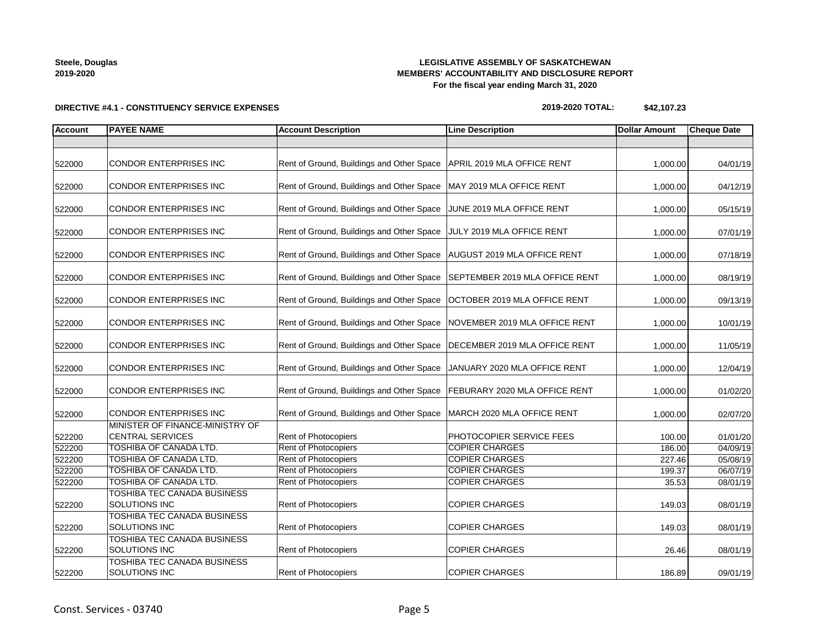**2019-2020**

**Steele, Douglas**

**DIRECTIVE #4.1 - CONSTITUENCY SERVICE EXPENSES**

## **LEGISLATIVE ASSEMBLY OF SASKATCHEWAN MEMBERS' ACCOUNTABILITY AND DISCLOSURE REPORT For the fiscal year ending March 31, 2020**

**2019-2020 TOTAL: \$42,107.23**

| <b>Account</b>   | <b>PAYEE NAME</b>                                       | <b>Account Description</b>                                           | <b>Line Description</b>                           | <b>Dollar Amount</b> | <b>Cheque Date</b>   |
|------------------|---------------------------------------------------------|----------------------------------------------------------------------|---------------------------------------------------|----------------------|----------------------|
|                  |                                                         |                                                                      |                                                   |                      |                      |
| 522000           | <b>CONDOR ENTERPRISES INC</b>                           | Rent of Ground, Buildings and Other Space                            | APRIL 2019 MLA OFFICE RENT                        | 1,000.00             | 04/01/19             |
| 522000           | CONDOR ENTERPRISES INC                                  | Rent of Ground, Buildings and Other Space   MAY 2019 MLA OFFICE RENT |                                                   | 1,000.00             | 04/12/19             |
| 522000           | <b>CONDOR ENTERPRISES INC</b>                           | Rent of Ground, Buildings and Other Space                            | JUNE 2019 MLA OFFICE RENT                         | 1,000.00             | 05/15/19             |
| 522000           | <b>CONDOR ENTERPRISES INC</b>                           | Rent of Ground, Buildings and Other Space JULY 2019 MLA OFFICE RENT  |                                                   | 1,000.00             | 07/01/19             |
| 522000           | <b>CONDOR ENTERPRISES INC</b>                           | Rent of Ground, Buildings and Other Space                            | AUGUST 2019 MLA OFFICE RENT                       | 1,000.00             | 07/18/19             |
| 522000           | <b>CONDOR ENTERPRISES INC</b>                           | Rent of Ground, Buildings and Other Space                            | SEPTEMBER 2019 MLA OFFICE RENT                    | 1,000.00             | 08/19/19             |
| 522000           | CONDOR ENTERPRISES INC                                  | Rent of Ground, Buildings and Other Space                            | OCTOBER 2019 MLA OFFICE RENT                      | 1,000.00             | 09/13/19             |
| 522000           | <b>CONDOR ENTERPRISES INC</b>                           | Rent of Ground, Buildings and Other Space                            | NOVEMBER 2019 MLA OFFICE RENT                     | 1,000.00             | 10/01/19             |
| 522000           | <b>CONDOR ENTERPRISES INC</b>                           | Rent of Ground, Buildings and Other Space                            | DECEMBER 2019 MLA OFFICE RENT                     | 1,000.00             | 11/05/19             |
| 522000           | <b>CONDOR ENTERPRISES INC</b>                           | Rent of Ground, Buildings and Other Space                            | JANUARY 2020 MLA OFFICE RENT                      | 1,000.00             | 12/04/19             |
| 522000           | <b>CONDOR ENTERPRISES INC</b>                           | Rent of Ground, Buildings and Other Space                            | FEBURARY 2020 MLA OFFICE RENT                     | 1,000.00             | 01/02/20             |
| 522000           | <b>CONDOR ENTERPRISES INC</b>                           | Rent of Ground, Buildings and Other Space                            | MARCH 2020 MLA OFFICE RENT                        | 1,000.00             | 02/07/20             |
|                  | MINISTER OF FINANCE-MINISTRY OF                         |                                                                      |                                                   |                      |                      |
| 522200           | <b>CENTRAL SERVICES</b>                                 | <b>Rent of Photocopiers</b>                                          | PHOTOCOPIER SERVICE FEES<br><b>COPIER CHARGES</b> | 100.00               | 01/01/20             |
| 522200           | <b>TOSHIBA OF CANADA LTD.</b>                           | <b>Rent of Photocopiers</b>                                          |                                                   | 186.00               | 04/09/19             |
| 522200           | <b>TOSHIBA OF CANADA LTD.</b><br>TOSHIBA OF CANADA LTD. | Rent of Photocopiers<br>Rent of Photocopiers                         | <b>COPIER CHARGES</b><br><b>COPIER CHARGES</b>    | 227.46               | 05/08/19             |
| 522200<br>522200 | TOSHIBA OF CANADA LTD.                                  | Rent of Photocopiers                                                 | <b>COPIER CHARGES</b>                             | 199.37<br>35.53      | 06/07/19<br>08/01/19 |
|                  | TOSHIBA TEC CANADA BUSINESS                             |                                                                      |                                                   |                      |                      |
| 522200           | SOLUTIONS INC                                           | Rent of Photocopiers                                                 | <b>COPIER CHARGES</b>                             | 149.03               | 08/01/19             |
|                  | <b>TOSHIBA TEC CANADA BUSINESS</b>                      |                                                                      |                                                   |                      |                      |
| 522200           | SOLUTIONS INC                                           | Rent of Photocopiers                                                 | <b>COPIER CHARGES</b>                             | 149.03               | 08/01/19             |
|                  | TOSHIBA TEC CANADA BUSINESS                             |                                                                      |                                                   |                      |                      |
| 522200           | SOLUTIONS INC                                           | Rent of Photocopiers                                                 | <b>COPIER CHARGES</b>                             | 26.46                | 08/01/19             |
| 522200           | <b>TOSHIBA TEC CANADA BUSINESS</b><br>SOLUTIONS INC     | <b>Rent of Photocopiers</b>                                          | <b>COPIER CHARGES</b>                             | 186.89               | 09/01/19             |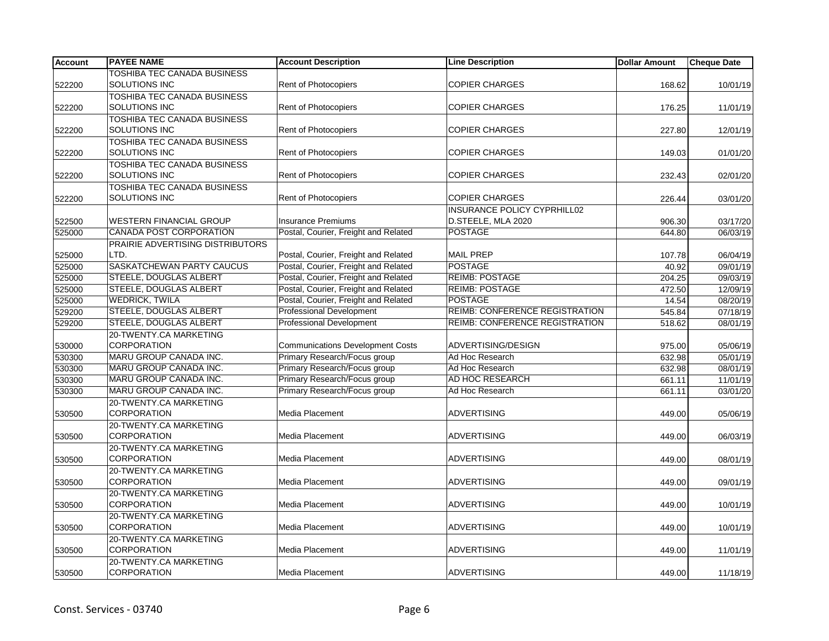| <b>Account</b> | <b>PAYEE NAME</b>                  | <b>Account Description</b>              | <b>Line Description</b>               | <b>Dollar Amount</b> | <b>Cheque Date</b> |
|----------------|------------------------------------|-----------------------------------------|---------------------------------------|----------------------|--------------------|
|                | <b>TOSHIBA TEC CANADA BUSINESS</b> |                                         |                                       |                      |                    |
| 522200         | <b>SOLUTIONS INC</b>               | Rent of Photocopiers                    | <b>COPIER CHARGES</b>                 | 168.62               | 10/01/19           |
|                | <b>TOSHIBA TEC CANADA BUSINESS</b> |                                         |                                       |                      |                    |
| 522200         | <b>SOLUTIONS INC</b>               | <b>Rent of Photocopiers</b>             | <b>COPIER CHARGES</b>                 | 176.25               | 11/01/19           |
|                | <b>TOSHIBA TEC CANADA BUSINESS</b> |                                         |                                       |                      |                    |
| 522200         | SOLUTIONS INC                      | <b>Rent of Photocopiers</b>             | <b>COPIER CHARGES</b>                 | 227.80               | 12/01/19           |
|                | <b>TOSHIBA TEC CANADA BUSINESS</b> |                                         |                                       |                      |                    |
| 522200         | SOLUTIONS INC                      | <b>Rent of Photocopiers</b>             | <b>COPIER CHARGES</b>                 | 149.03               | 01/01/20           |
|                | <b>TOSHIBA TEC CANADA BUSINESS</b> |                                         |                                       |                      |                    |
| 522200         | SOLUTIONS INC                      | Rent of Photocopiers                    | <b>COPIER CHARGES</b>                 | 232.43               | 02/01/20           |
|                | TOSHIBA TEC CANADA BUSINESS        |                                         |                                       |                      |                    |
| 522200         | SOLUTIONS INC                      | Rent of Photocopiers                    | <b>COPIER CHARGES</b>                 | 226.44               | 03/01/20           |
|                |                                    |                                         | <b>INSURANCE POLICY CYPRHILL02</b>    |                      |                    |
| 522500         | <b>WESTERN FINANCIAL GROUP</b>     | <b>Insurance Premiums</b>               | D.STEELE, MLA 2020                    | 906.30               | 03/17/20           |
| 525000         | <b>CANADA POST CORPORATION</b>     | Postal, Courier, Freight and Related    | <b>POSTAGE</b>                        | 644.80               | 06/03/19           |
|                | PRAIRIE ADVERTISING DISTRIBUTORS   |                                         |                                       |                      |                    |
| 525000         | LTD.                               | Postal, Courier, Freight and Related    | <b>MAIL PREP</b>                      | 107.78               | 06/04/19           |
| 525000         | SASKATCHEWAN PARTY CAUCUS          | Postal, Courier, Freight and Related    | <b>POSTAGE</b>                        | 40.92                | 09/01/19           |
| 525000         | STEELE, DOUGLAS ALBERT             | Postal, Courier, Freight and Related    | <b>REIMB: POSTAGE</b>                 | 204.25               | 09/03/19           |
| 525000         | STEELE, DOUGLAS ALBERT             | Postal, Courier, Freight and Related    | <b>REIMB: POSTAGE</b>                 | 472.50               | 12/09/19           |
| 525000         | <b>WEDRICK, TWILA</b>              | Postal, Courier, Freight and Related    | <b>POSTAGE</b>                        | 14.54                | 08/20/19           |
| 529200         | <b>STEELE, DOUGLAS ALBERT</b>      | <b>Professional Development</b>         | <b>REIMB: CONFERENCE REGISTRATION</b> | 545.84               | 07/18/19           |
| 529200         | <b>STEELE, DOUGLAS ALBERT</b>      | <b>Professional Development</b>         | REIMB: CONFERENCE REGISTRATION        | 518.62               | 08/01/19           |
|                | 20-TWENTY.CA MARKETING             |                                         |                                       |                      |                    |
| 530000         | <b>CORPORATION</b>                 | <b>Communications Development Costs</b> | ADVERTISING/DESIGN                    | 975.00               | 05/06/19           |
| 530300         | MARU GROUP CANADA INC.             | Primary Research/Focus group            | Ad Hoc Research                       | 632.98               | 05/01/19           |
| 530300         | MARU GROUP CANADA INC.             | Primary Research/Focus group            | Ad Hoc Research                       | 632.98               | 08/01/19           |
| 530300         | MARU GROUP CANADA INC.             | Primary Research/Focus group            | AD HOC RESEARCH                       | 661.11               | 11/01/19           |
| 530300         | MARU GROUP CANADA INC.             | Primary Research/Focus group            | Ad Hoc Research                       | 661.11               | 03/01/20           |
|                | 20-TWENTY.CA MARKETING             |                                         |                                       |                      |                    |
| 530500         | <b>CORPORATION</b>                 | Media Placement                         | <b>ADVERTISING</b>                    | 449.00               | 05/06/19           |
|                | 20-TWENTY.CA MARKETING             |                                         |                                       |                      |                    |
| 530500         | <b>CORPORATION</b>                 | Media Placement                         | <b>ADVERTISING</b>                    | 449.00               | 06/03/19           |
|                | 20-TWENTY.CA MARKETING             |                                         |                                       |                      |                    |
| 530500         | <b>CORPORATION</b>                 | Media Placement                         | <b>ADVERTISING</b>                    | 449.00               | 08/01/19           |
|                | 20-TWENTY.CA MARKETING             |                                         |                                       |                      |                    |
| 530500         | <b>CORPORATION</b>                 | Media Placement                         | <b>ADVERTISING</b>                    | 449.00               | 09/01/19           |
|                | 20-TWENTY.CA MARKETING             |                                         |                                       |                      |                    |
| 530500         | <b>CORPORATION</b>                 | Media Placement                         | <b>ADVERTISING</b>                    | 449.00               | 10/01/19           |
|                | 20-TWENTY.CA MARKETING             |                                         |                                       |                      |                    |
| 530500         | <b>CORPORATION</b>                 | <b>Media Placement</b>                  | ADVERTISING                           | 449.00               | 10/01/19           |
|                | 20-TWENTY.CA MARKETING             |                                         |                                       |                      |                    |
| 530500         | <b>CORPORATION</b>                 | <b>Media Placement</b>                  | <b>ADVERTISING</b>                    | 449.00               | 11/01/19           |
|                | 20-TWENTY.CA MARKETING             |                                         |                                       |                      |                    |
| 530500         | <b>CORPORATION</b>                 | Media Placement                         | ADVERTISING                           | 449.00               | 11/18/19           |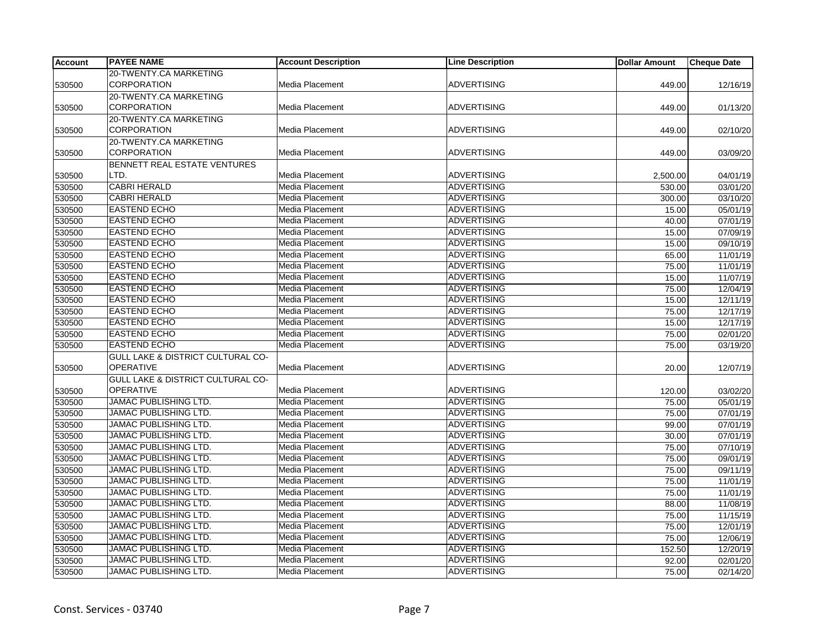| <b>Account</b> | <b>PAYEE NAME</b>                            | <b>Account Description</b> | <b>Line Description</b> | <b>Dollar Amount</b> | <b>Cheque Date</b> |
|----------------|----------------------------------------------|----------------------------|-------------------------|----------------------|--------------------|
|                | 20-TWENTY.CA MARKETING                       |                            |                         |                      |                    |
| 530500         | <b>CORPORATION</b>                           | Media Placement            | <b>ADVERTISING</b>      | 449.00               | 12/16/19           |
|                | 20-TWENTY.CA MARKETING                       |                            |                         |                      |                    |
| 530500         | <b>CORPORATION</b>                           | Media Placement            | <b>ADVERTISING</b>      | 449.00               | 01/13/20           |
|                | 20-TWENTY.CA MARKETING                       |                            |                         |                      |                    |
| 530500         | <b>CORPORATION</b>                           | Media Placement            | <b>ADVERTISING</b>      | 449.00               | 02/10/20           |
|                | 20-TWENTY.CA MARKETING                       |                            |                         |                      |                    |
| 530500         | <b>CORPORATION</b>                           | Media Placement            | <b>ADVERTISING</b>      | 449.00               | 03/09/20           |
|                | BENNETT REAL ESTATE VENTURES                 |                            |                         |                      |                    |
| 530500         | LTD.                                         | Media Placement            | <b>ADVERTISING</b>      | 2,500.00             | 04/01/19           |
| 530500         | <b>CABRI HERALD</b>                          | Media Placement            | <b>ADVERTISING</b>      | 530.00               | 03/01/20           |
| 530500         | <b>CABRI HERALD</b>                          | Media Placement            | <b>ADVERTISING</b>      | 300.00               | 03/10/20           |
| 530500         | <b>EASTEND ECHO</b>                          | Media Placement            | <b>ADVERTISING</b>      | 15.00                | 05/01/19           |
| 530500         | <b>EASTEND ECHO</b>                          | Media Placement            | <b>ADVERTISING</b>      | 40.00                | 07/01/19           |
| 530500         | <b>EASTEND ECHO</b>                          | Media Placement            | <b>ADVERTISING</b>      | 15.00                | 07/09/19           |
| 530500         | <b>EASTEND ECHO</b>                          | Media Placement            | <b>ADVERTISING</b>      | 15.00                | 09/10/19           |
| 530500         | <b>EASTEND ECHO</b>                          | Media Placement            | <b>ADVERTISING</b>      | 65.00                | 11/01/19           |
| 530500         | <b>EASTEND ECHO</b>                          | Media Placement            | <b>ADVERTISING</b>      | 75.00                | 11/01/19           |
| 530500         | <b>EASTEND ECHO</b>                          | Media Placement            | <b>ADVERTISING</b>      | 15.00                | 11/07/19           |
| 530500         | <b>EASTEND ECHO</b>                          | Media Placement            | <b>ADVERTISING</b>      | 75.00                | 12/04/19           |
| 530500         | <b>EASTEND ECHO</b>                          | <b>Media Placement</b>     | <b>ADVERTISING</b>      | 15.00                | 12/11/19           |
| 530500         | <b>EASTEND ECHO</b>                          | Media Placement            | <b>ADVERTISING</b>      | 75.00                | 12/17/19           |
| 530500         | <b>EASTEND ECHO</b>                          | Media Placement            | <b>ADVERTISING</b>      | 15.00                | 12/17/19           |
| 530500         | <b>EASTEND ECHO</b>                          | Media Placement            | <b>ADVERTISING</b>      | 75.00                | 02/01/20           |
| 530500         | <b>EASTEND ECHO</b>                          | Media Placement            | <b>ADVERTISING</b>      | 75.00                | 03/19/20           |
|                | <b>GULL LAKE &amp; DISTRICT CULTURAL CO-</b> |                            |                         |                      |                    |
| 530500         | <b>OPERATIVE</b>                             | Media Placement            | <b>ADVERTISING</b>      | 20.00                | 12/07/19           |
|                | <b>GULL LAKE &amp; DISTRICT CULTURAL CO-</b> |                            |                         |                      |                    |
| 530500         | <b>OPERATIVE</b>                             | Media Placement            | <b>ADVERTISING</b>      | 120.00               | 03/02/20           |
| 530500         | <b>JAMAC PUBLISHING LTD.</b>                 | Media Placement            | <b>ADVERTISING</b>      | 75.00                | 05/01/19           |
| 530500         | JAMAC PUBLISHING LTD.                        | Media Placement            | <b>ADVERTISING</b>      | 75.00                | 07/01/19           |
| 530500         | <b>JAMAC PUBLISHING LTD.</b>                 | Media Placement            | <b>ADVERTISING</b>      | 99.00                | 07/01/19           |
| 530500         | JAMAC PUBLISHING LTD.                        | Media Placement            | <b>ADVERTISING</b>      | 30.00                | 07/01/19           |
| 530500         | JAMAC PUBLISHING LTD.                        | Media Placement            | <b>ADVERTISING</b>      | 75.00                | 07/10/19           |
| 530500         | JAMAC PUBLISHING LTD.                        | Media Placement            | <b>ADVERTISING</b>      | 75.00                | 09/01/19           |
| 530500         | JAMAC PUBLISHING LTD.                        | Media Placement            | <b>ADVERTISING</b>      | 75.00                | 09/11/19           |
| 530500         | JAMAC PUBLISHING LTD.                        | Media Placement            | <b>ADVERTISING</b>      | 75.00                | 11/01/19           |
| 530500         | JAMAC PUBLISHING LTD.                        | Media Placement            | <b>ADVERTISING</b>      | 75.00                | 11/01/19           |
| 530500         | JAMAC PUBLISHING LTD.                        | Media Placement            | <b>ADVERTISING</b>      | 88.00                | 11/08/19           |
| 530500         | <b>JAMAC PUBLISHING LTD.</b>                 | Media Placement            | <b>ADVERTISING</b>      | 75.00                | 11/15/19           |
| 530500         | JAMAC PUBLISHING LTD.                        | Media Placement            | <b>ADVERTISING</b>      | 75.00                | 12/01/19           |
| 530500         | <b>JAMAC PUBLISHING LTD.</b>                 | Media Placement            | <b>ADVERTISING</b>      | 75.00                | 12/06/19           |
| 530500         | <b>JAMAC PUBLISHING LTD.</b>                 | Media Placement            | <b>ADVERTISING</b>      | 152.50               | 12/20/19           |
| 530500         | JAMAC PUBLISHING LTD.                        | Media Placement            | <b>ADVERTISING</b>      | 92.00                | 02/01/20           |
| 530500         | <b>JAMAC PUBLISHING LTD.</b>                 | <b>Media Placement</b>     | <b>ADVERTISING</b>      | 75.00                | 02/14/20           |
|                |                                              |                            |                         |                      |                    |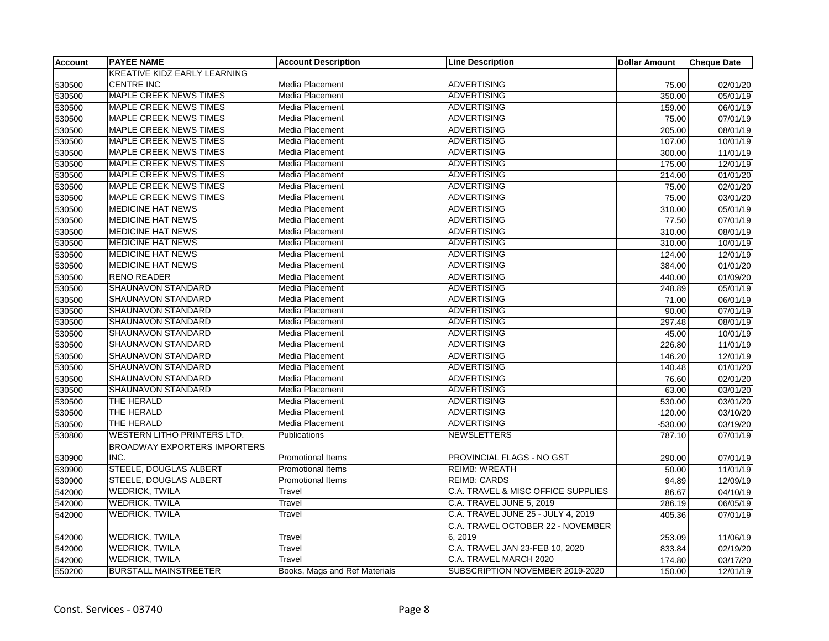| <b>Account</b> | <b>PAYEE NAME</b>                   | <b>Account Description</b>    | <b>Line Description</b>            | <b>Dollar Amount</b> | <b>Cheque Date</b> |
|----------------|-------------------------------------|-------------------------------|------------------------------------|----------------------|--------------------|
|                | <b>KREATIVE KIDZ EARLY LEARNING</b> |                               |                                    |                      |                    |
| 530500         | <b>CENTRE INC</b>                   | Media Placement               | <b>ADVERTISING</b>                 | 75.00                | 02/01/20           |
| 530500         | <b>MAPLE CREEK NEWS TIMES</b>       | Media Placement               | <b>ADVERTISING</b>                 | 350.00               | 05/01/19           |
| 530500         | <b>MAPLE CREEK NEWS TIMES</b>       | Media Placement               | <b>ADVERTISING</b>                 | 159.00               | 06/01/19           |
| 530500         | <b>MAPLE CREEK NEWS TIMES</b>       | Media Placement               | <b>ADVERTISING</b>                 | 75.00                | 07/01/19           |
| 530500         | <b>MAPLE CREEK NEWS TIMES</b>       | Media Placement               | <b>ADVERTISING</b>                 | 205.00               | 08/01/19           |
| 530500         | MAPLE CREEK NEWS TIMES              | Media Placement               | <b>ADVERTISING</b>                 | 107.00               | 10/01/19           |
| 530500         | <b>MAPLE CREEK NEWS TIMES</b>       | Media Placement               | <b>ADVERTISING</b>                 | 300.00               | 11/01/19           |
| 530500         | <b>MAPLE CREEK NEWS TIMES</b>       | Media Placement               | <b>ADVERTISING</b>                 | 175.00               | 12/01/19           |
| 530500         | <b>MAPLE CREEK NEWS TIMES</b>       | Media Placement               | <b>ADVERTISING</b>                 | 214.00               | 01/01/20           |
| 530500         | MAPLE CREEK NEWS TIMES              | Media Placement               | <b>ADVERTISING</b>                 | 75.00                | 02/01/20           |
| 530500         | MAPLE CREEK NEWS TIMES              | Media Placement               | <b>ADVERTISING</b>                 | 75.00                | 03/01/20           |
| 530500         | <b>MEDICINE HAT NEWS</b>            | Media Placement               | <b>ADVERTISING</b>                 | 310.00               | 05/01/19           |
| 530500         | <b>MEDICINE HAT NEWS</b>            | Media Placement               | <b>ADVERTISING</b>                 | 77.50                | 07/01/19           |
| 530500         | <b>MEDICINE HAT NEWS</b>            | Media Placement               | <b>ADVERTISING</b>                 | 310.00               | 08/01/19           |
| 530500         | <b>MEDICINE HAT NEWS</b>            | Media Placement               | <b>ADVERTISING</b>                 | 310.00               | 10/01/19           |
| 530500         | <b>MEDICINE HAT NEWS</b>            | Media Placement               | <b>ADVERTISING</b>                 | 124.00               | 12/01/19           |
| 530500         | <b>MEDICINE HAT NEWS</b>            | Media Placement               | <b>ADVERTISING</b>                 | 384.00               | 01/01/20           |
| 530500         | <b>RENO READER</b>                  | Media Placement               | <b>ADVERTISING</b>                 | 440.00               | 01/09/20           |
| 530500         | SHAUNAVON STANDARD                  | <b>Media Placement</b>        | <b>ADVERTISING</b>                 | 248.89               | 05/01/19           |
| 530500         | <b>SHAUNAVON STANDARD</b>           | Media Placement               | <b>ADVERTISING</b>                 | 71.00                | 06/01/19           |
| 530500         | SHAUNAVON STANDARD                  | Media Placement               | <b>ADVERTISING</b>                 | 90.00                | 07/01/19           |
| 530500         | SHAUNAVON STANDARD                  | Media Placement               | <b>ADVERTISING</b>                 | 297.48               | 08/01/19           |
| 530500         | SHAUNAVON STANDARD                  | Media Placement               | <b>ADVERTISING</b>                 | 45.00                | 10/01/19           |
| 530500         | <b>SHAUNAVON STANDARD</b>           | Media Placement               | <b>ADVERTISING</b>                 | 226.80               | 11/01/19           |
| 530500         | SHAUNAVON STANDARD                  | Media Placement               | <b>ADVERTISING</b>                 | 146.20               | 12/01/19           |
| 530500         | SHAUNAVON STANDARD                  | Media Placement               | <b>ADVERTISING</b>                 | 140.48               | 01/01/20           |
| 530500         | <b>SHAUNAVON STANDARD</b>           | Media Placement               | <b>ADVERTISING</b>                 | 76.60                | 02/01/20           |
| 530500         | SHAUNAVON STANDARD                  | Media Placement               | <b>ADVERTISING</b>                 | 63.00                | 03/01/20           |
| 530500         | THE HERALD                          | Media Placement               | <b>ADVERTISING</b>                 | 530.00               | 03/01/20           |
| 530500         | THE HERALD                          | Media Placement               | <b>ADVERTISING</b>                 | 120.00               | 03/10/20           |
| 530500         | THE HERALD                          | Media Placement               | <b>ADVERTISING</b>                 | $-530.00$            | 03/19/20           |
| 530800         | <b>WESTERN LITHO PRINTERS LTD.</b>  | Publications                  | <b>NEWSLETTERS</b>                 | 787.10               | 07/01/19           |
|                | <b>BROADWAY EXPORTERS IMPORTERS</b> |                               |                                    |                      |                    |
| 530900         | INC.                                | <b>Promotional Items</b>      | PROVINCIAL FLAGS - NO GST          | 290.00               | 07/01/19           |
| 530900         | STEELE, DOUGLAS ALBERT              | Promotional Items             | <b>REIMB: WREATH</b>               | 50.00                | 11/01/19           |
| 530900         | <b>STEELE, DOUGLAS ALBERT</b>       | <b>Promotional Items</b>      | <b>REIMB: CARDS</b>                | 94.89                | 12/09/19           |
| 542000         | <b>WEDRICK, TWILA</b>               | Travel                        | C.A. TRAVEL & MISC OFFICE SUPPLIES | 86.67                | 04/10/19           |
| 542000         | <b>WEDRICK, TWILA</b>               | Travel                        | C.A. TRAVEL JUNE 5, 2019           | 286.19               | 06/05/19           |
| 542000         | <b>WEDRICK, TWILA</b>               | Travel                        | C.A. TRAVEL JUNE 25 - JULY 4, 2019 | 405.36               | 07/01/19           |
|                |                                     |                               | C.A. TRAVEL OCTOBER 22 - NOVEMBER  |                      |                    |
| 542000         | <b>WEDRICK, TWILA</b>               | Travel                        | 6, 2019                            | 253.09               | 11/06/19           |
| 542000         | <b>WEDRICK, TWILA</b>               | Travel                        | C.A. TRAVEL JAN 23-FEB 10, 2020    | 833.84               | 02/19/20           |
| 542000         | <b>WEDRICK, TWILA</b>               | Travel                        | C.A. TRAVEL MARCH 2020             | 174.80               | 03/17/20           |
| 550200         | <b>BURSTALL MAINSTREETER</b>        | Books, Mags and Ref Materials | SUBSCRIPTION NOVEMBER 2019-2020    | 150.00               | 12/01/19           |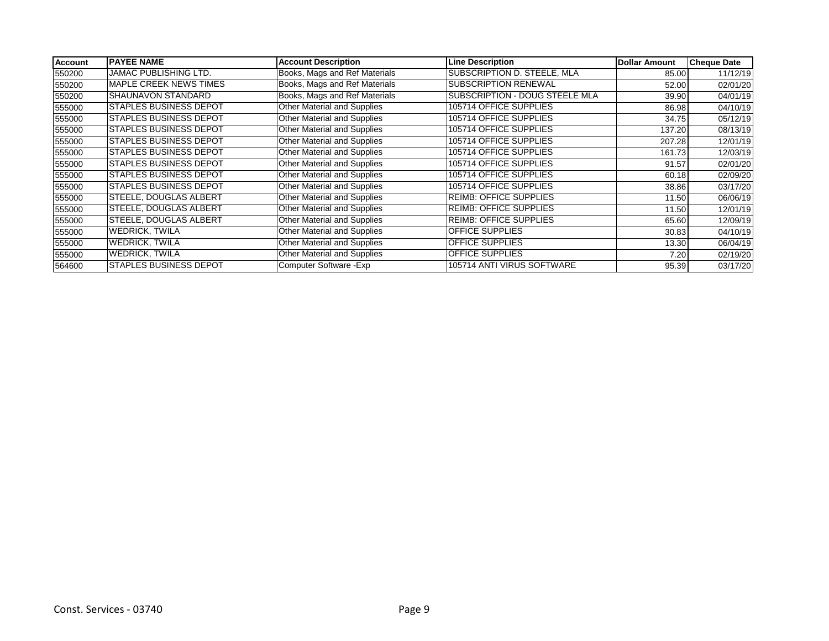| <b>Account</b> | <b>PAYEE NAME</b>             | <b>Account Description</b>         | <b>Line Description</b>        | <b>Dollar Amount</b> | <b>Cheque Date</b> |
|----------------|-------------------------------|------------------------------------|--------------------------------|----------------------|--------------------|
| 550200         | <b>JAMAC PUBLISHING LTD.</b>  | Books, Mags and Ref Materials      | SUBSCRIPTION D. STEELE, MLA    | 85.00                | 11/12/19           |
| 550200         | <b>MAPLE CREEK NEWS TIMES</b> | Books, Mags and Ref Materials      | <b>SUBSCRIPTION RENEWAL</b>    | 52.00                | 02/01/20           |
| 550200         | <b>SHAUNAVON STANDARD</b>     | Books, Mags and Ref Materials      | SUBSCRIPTION - DOUG STEELE MLA | 39.90                | 04/01/19           |
| 555000         | <b>STAPLES BUSINESS DEPOT</b> | <b>Other Material and Supplies</b> | 105714 OFFICE SUPPLIES         | 86.98                | 04/10/19           |
| 555000         | <b>STAPLES BUSINESS DEPOT</b> | Other Material and Supplies        | 105714 OFFICE SUPPLIES         | 34.75                | 05/12/19           |
| 555000         | <b>STAPLES BUSINESS DEPOT</b> | <b>Other Material and Supplies</b> | 105714 OFFICE SUPPLIES         | 137.20               | 08/13/19           |
| 555000         | <b>STAPLES BUSINESS DEPOT</b> | <b>Other Material and Supplies</b> | 105714 OFFICE SUPPLIES         | 207.28               | 12/01/19           |
| 555000         | <b>STAPLES BUSINESS DEPOT</b> | Other Material and Supplies        | 105714 OFFICE SUPPLIES         | 161.73               | 12/03/19           |
| 555000         | <b>STAPLES BUSINESS DEPOT</b> | Other Material and Supplies        | 105714 OFFICE SUPPLIES         | 91.57                | 02/01/20           |
| 555000         | <b>STAPLES BUSINESS DEPOT</b> | Other Material and Supplies        | 105714 OFFICE SUPPLIES         | 60.18                | 02/09/20           |
| 555000         | <b>STAPLES BUSINESS DEPOT</b> | <b>Other Material and Supplies</b> | 105714 OFFICE SUPPLIES         | 38.86                | 03/17/20           |
| 555000         | <b>STEELE, DOUGLAS ALBERT</b> | Other Material and Supplies        | <b>REIMB: OFFICE SUPPLIES</b>  | 11.50                | 06/06/19           |
| 555000         | <b>STEELE, DOUGLAS ALBERT</b> | Other Material and Supplies        | <b>REIMB: OFFICE SUPPLIES</b>  | 11.50                | 12/01/19           |
| 555000         | <b>STEELE. DOUGLAS ALBERT</b> | Other Material and Supplies        | <b>REIMB: OFFICE SUPPLIES</b>  | 65.60                | 12/09/19           |
| 555000         | <b>WEDRICK, TWILA</b>         | Other Material and Supplies        | <b>OFFICE SUPPLIES</b>         | 30.83                | 04/10/19           |
| 555000         | <b>WEDRICK, TWILA</b>         | Other Material and Supplies        | <b>OFFICE SUPPLIES</b>         | 13.30                | 06/04/19           |
| 555000         | <b>WEDRICK, TWILA</b>         | Other Material and Supplies        | <b>OFFICE SUPPLIES</b>         | 7.20                 | 02/19/20           |
| 564600         | <b>STAPLES BUSINESS DEPOT</b> | Computer Software - Exp            | 105714 ANTI VIRUS SOFTWARE     | 95.39                | 03/17/20           |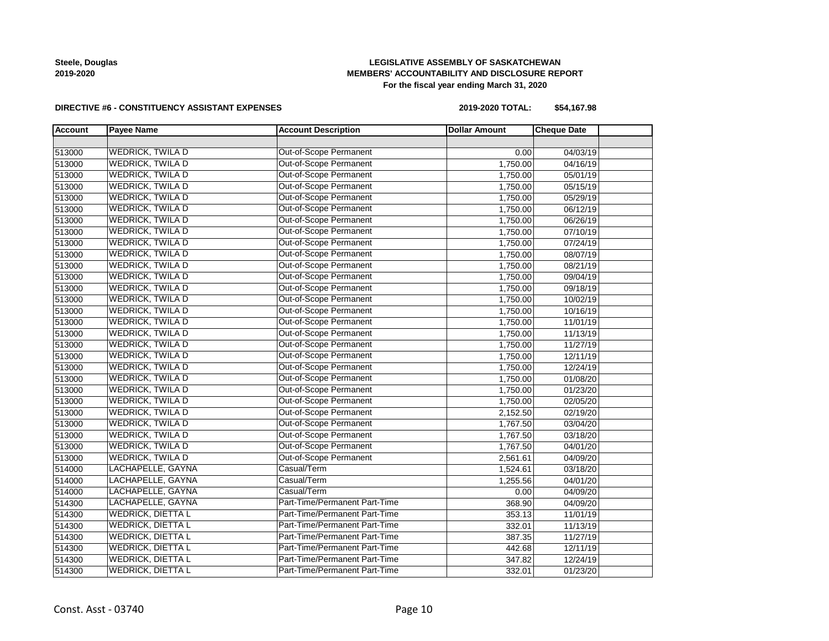**Steele, Douglas 2019-2020**

# **LEGISLATIVE ASSEMBLY OF SASKATCHEWAN MEMBERS' ACCOUNTABILITY AND DISCLOSURE REPORT For the fiscal year ending March 31, 2020**

### **DIRECTIVE #6 - CONSTITUENCY ASSISTANT EXPENSES**

**2019-2020 TOTAL: \$54,167.98**

| <b>Account</b> | <b>Payee Name</b>        | <b>Account Description</b>    | <b>Dollar Amount</b> | <b>Cheque Date</b> |  |
|----------------|--------------------------|-------------------------------|----------------------|--------------------|--|
|                |                          |                               |                      |                    |  |
| 513000         | <b>WEDRICK, TWILA D</b>  | Out-of-Scope Permanent        | 0.00                 | 04/03/19           |  |
| 513000         | <b>WEDRICK, TWILA D</b>  | Out-of-Scope Permanent        | 1,750.00             | 04/16/19           |  |
| 513000         | <b>WEDRICK, TWILA D</b>  | Out-of-Scope Permanent        | 1,750.00             | 05/01/19           |  |
| 513000         | <b>WEDRICK, TWILA D</b>  | Out-of-Scope Permanent        | 1,750.00             | 05/15/19           |  |
| 513000         | <b>WEDRICK, TWILA D</b>  | Out-of-Scope Permanent        | 1,750.00             | 05/29/19           |  |
| 513000         | <b>WEDRICK, TWILA D</b>  | Out-of-Scope Permanent        | 1,750.00             | 06/12/19           |  |
| 513000         | <b>WEDRICK, TWILA D</b>  | Out-of-Scope Permanent        | 1,750.00             | 06/26/19           |  |
| 513000         | <b>WEDRICK, TWILA D</b>  | Out-of-Scope Permanent        | 1,750.00             | 07/10/19           |  |
| 513000         | <b>WEDRICK, TWILA D</b>  | Out-of-Scope Permanent        | 1,750.00             | 07/24/19           |  |
| 513000         | <b>WEDRICK, TWILA D</b>  | Out-of-Scope Permanent        | 1,750.00             | 08/07/19           |  |
| 513000         | <b>WEDRICK, TWILA D</b>  | Out-of-Scope Permanent        | 1,750.00             | 08/21/19           |  |
| 513000         | <b>WEDRICK, TWILA D</b>  | Out-of-Scope Permanent        | 1,750.00             | 09/04/19           |  |
| 513000         | <b>WEDRICK, TWILA D</b>  | Out-of-Scope Permanent        | 1,750.00             | 09/18/19           |  |
| 513000         | WEDRICK, TWILA D         | Out-of-Scope Permanent        | 1,750.00             | 10/02/19           |  |
| 513000         | <b>WEDRICK, TWILA D</b>  | Out-of-Scope Permanent        | 1,750.00             | 10/16/19           |  |
| 513000         | <b>WEDRICK, TWILA D</b>  | Out-of-Scope Permanent        | 1,750.00             | 11/01/19           |  |
| 513000         | <b>WEDRICK, TWILA D</b>  | Out-of-Scope Permanent        | 1,750.00             | 11/13/19           |  |
| 513000         | <b>WEDRICK, TWILA D</b>  | Out-of-Scope Permanent        | 1,750.00             | 11/27/19           |  |
| 513000         | <b>WEDRICK, TWILA D</b>  | Out-of-Scope Permanent        | 1,750.00             | 12/11/19           |  |
| 513000         | <b>WEDRICK, TWILA D</b>  | Out-of-Scope Permanent        | 1,750.00             | 12/24/19           |  |
| 513000         | <b>WEDRICK, TWILA D</b>  | Out-of-Scope Permanent        | 1,750.00             | 01/08/20           |  |
| 513000         | <b>WEDRICK, TWILA D</b>  | Out-of-Scope Permanent        | 1,750.00             | 01/23/20           |  |
| 513000         | <b>WEDRICK, TWILA D</b>  | Out-of-Scope Permanent        | 1,750.00             | 02/05/20           |  |
| 513000         | <b>WEDRICK, TWILA D</b>  | Out-of-Scope Permanent        | 2,152.50             | 02/19/20           |  |
| 513000         | <b>WEDRICK, TWILA D</b>  | Out-of-Scope Permanent        | 1,767.50             | 03/04/20           |  |
| 513000         | <b>WEDRICK, TWILA D</b>  | Out-of-Scope Permanent        | 1,767.50             | 03/18/20           |  |
| 513000         | <b>WEDRICK, TWILA D</b>  | Out-of-Scope Permanent        | 1,767.50             | 04/01/20           |  |
| 513000         | <b>WEDRICK, TWILA D</b>  | Out-of-Scope Permanent        | 2,561.61             | 04/09/20           |  |
| 514000         | LACHAPELLE, GAYNA        | Casual/Term                   | 1,524.61             | 03/18/20           |  |
| 514000         | LACHAPELLE, GAYNA        | Casual/Term                   | 1,255.56             | 04/01/20           |  |
| 514000         | LACHAPELLE, GAYNA        | Casual/Term                   | 0.00                 | 04/09/20           |  |
| 514300         | LACHAPELLE, GAYNA        | Part-Time/Permanent Part-Time | 368.90               | 04/09/20           |  |
| 514300         | <b>WEDRICK, DIETTA L</b> | Part-Time/Permanent Part-Time | 353.13               | 11/01/19           |  |
| 514300         | <b>WEDRICK, DIETTA L</b> | Part-Time/Permanent Part-Time | 332.01               | 11/13/19           |  |
| 514300         | <b>WEDRICK, DIETTA L</b> | Part-Time/Permanent Part-Time | 387.35               | 11/27/19           |  |
| 514300         | <b>WEDRICK, DIETTA L</b> | Part-Time/Permanent Part-Time | 442.68               | 12/11/19           |  |
| 514300         | <b>WEDRICK, DIETTA L</b> | Part-Time/Permanent Part-Time | 347.82               | 12/24/19           |  |
| 514300         | <b>WEDRICK, DIETTA L</b> | Part-Time/Permanent Part-Time | 332.01               | 01/23/20           |  |